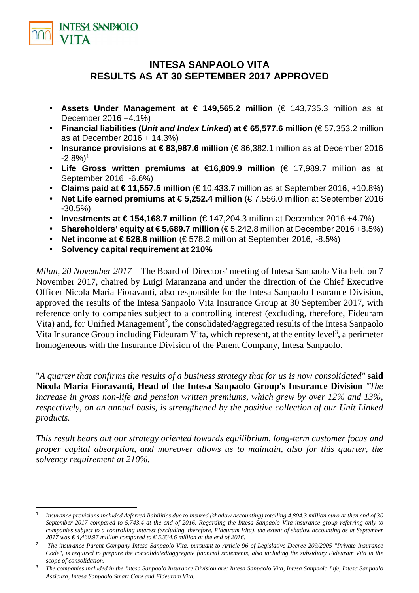

l

# **INTESA SANPAOLO VITA RESULTS AS AT 30 SEPTEMBER 2017 APPROVED**

- **Assets Under Management at € 149,565.2 million** (€ 143,735.3 million as at December 2016 +4.1%)
- **Financial liabilities (Unit and Index Linked) at € 65,577.6 million** (€ 57,353.2 million as at December 2016 + 14.3%)
- **Insurance provisions at € 83,987.6 million** (€ 86,382.1 million as at December 2016  $-2.8\%$ <sup>1</sup>
- **Life Gross written premiums at €16,809.9 million** (€ 17,989.7 million as at September 2016, -6.6%)
- Claims paid at  $€ 11,557.5$  million  $(€ 10,433.7$  million as at September 2016, +10.8%)
- **Net Life earned premiums at € 5,252.4 million** (€ 7,556.0 million at September 2016 -30.5%)
- **Investments at € 154,168.7 million** (€ 147,204.3 million at December 2016 +4.7%)
- **Shareholders' equity at**  $\in$  **5,689.7 million**  $(\in$  5,242.8 million at December 2016 +8.5%)
- **Net income at € 528.8 million** (€ 578.2 million at September 2016, -8.5%)
- **Solvency capital requirement at 210%**

*Milan, 20 November 2017 – The Board of Directors' meeting of Intesa Sanpaolo Vita held on 7* November 2017, chaired by Luigi Maranzana and under the direction of the Chief Executive Officer Nicola Maria Fioravanti, also responsible for the Intesa Sanpaolo Insurance Division, approved the results of the Intesa Sanpaolo Vita Insurance Group at 30 September 2017, with reference only to companies subject to a controlling interest (excluding, therefore, Fideuram Vita) and, for Unified Management<sup>2</sup>, the consolidated/aggregated results of the Intesa Sanpaolo Vita Insurance Group including Fideuram Vita, which represent, at the entity level<sup>3</sup>, a perimeter homogeneous with the Insurance Division of the Parent Company, Intesa Sanpaolo.

"*A quarter that confirms the results of a business strategy that for us is now consolidated"* **said Nicola Maria Fioravanti, Head of the Intesa Sanpaolo Group's Insurance Division** *"The increase in gross non-life and pension written premiums, which grew by over 12% and 13%, respectively, on an annual basis, is strengthened by the positive collection of our Unit Linked products.* 

*This result bears out our strategy oriented towards equilibrium, long-term customer focus and proper capital absorption, and moreover allows us to maintain, also for this quarter, the solvency requirement at 210%.*

<sup>1</sup>*Insurance provisions included deferred liabilities due to insured (shadow accounting) totalling 4,804.3 million euro at then end of 30 September 2017 compared to 5,743.4 at the end of 2016. Regarding the Intesa Sanpaolo Vita insurance group referring only to companies subject to a controlling interest (excluding, therefore, Fideuram Vita), the extent of shadow accounting as at September 2017 was € 4,460.97 million compared to € 5,334.6 million at the end of 2016.*

<sup>&</sup>lt;sup>2</sup> The insurance Parent Company Intesa Sanpaolo Vita, pursuant to Article 96 of Legislative Decree 209/2005 "Private Insurance *Code", is required to prepare the consolidated/aggregate financial statements, also including the subsidiary Fideuram Vita in the scope of consolidation.* 

<sup>3</sup> *The companies included in the Intesa Sanpaolo Insurance Division are: Intesa Sanpaolo Vita, Intesa Sanpaolo Life, Intesa Sanpaolo Assicura, Intesa Sanpaolo Smart Care and Fideuram Vita.*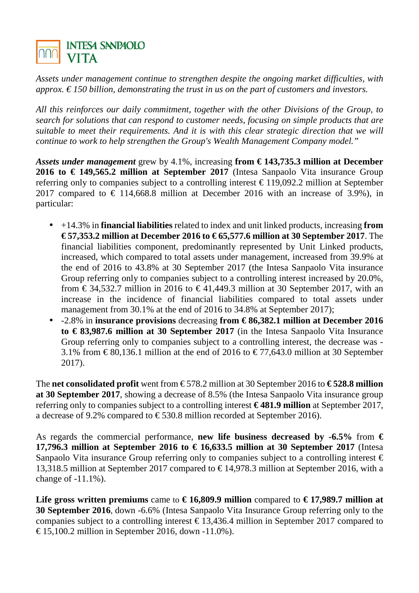

*Assets under management continue to strengthen despite the ongoing market difficulties, with approx. € 150 billion, demonstrating the trust in us on the part of customers and investors.*

*All this reinforces our daily commitment, together with the other Divisions of the Group, to search for solutions that can respond to customer needs, focusing on simple products that are suitable to meet their requirements. And it is with this clear strategic direction that we will continue to work to help strengthen the Group's Wealth Management Company model."*

*Assets under management* grew by 4.1%, increasing **from € 143,735.3 million at December 2016 to € 149,565.2 million at September 2017** (Intesa Sanpaolo Vita insurance Group referring only to companies subject to a controlling interest  $\epsilon$  119,092.2 million at September 2017 compared to  $\in$  114,668.8 million at December 2016 with an increase of 3.9%), in particular:

- +14.3% in **financial liabilities** related to index and unit linked products, increasing **from € 57,353.2 million at December 2016 to € 65,577.6 million at 30 September 2017**. The financial liabilities component, predominantly represented by Unit Linked products, increased, which compared to total assets under management, increased from 39.9% at the end of 2016 to 43.8% at 30 September 2017 (the Intesa Sanpaolo Vita insurance Group referring only to companies subject to a controlling interest increased by 20.0%, from  $\in$  34,532.7 million in 2016 to  $\in$  41,449.3 million at 30 September 2017, with an increase in the incidence of financial liabilities compared to total assets under management from 30.1% at the end of 2016 to 34.8% at September 2017);
- -2.8% in **insurance provisions** decreasing **from € 86,382.1 million at December 2016 to € 83,987.6 million at 30 September 2017** (in the Intesa Sanpaolo Vita Insurance Group referring only to companies subject to a controlling interest, the decrease was - 3.1% from  $\in$  80,136.1 million at the end of 2016 to  $\in$  77,643.0 million at 30 September 2017).

The **net consolidated profit** went from  $\in$  578.2 million at 30 September 2016 to  $\in$  **528.8 million at 30 September 2017**, showing a decrease of 8.5% (the Intesa Sanpaolo Vita insurance group referring only to companies subject to a controlling interest **€ 481.9 million** at September 2017, a decrease of 9.2% compared to  $\in$  530.8 million recorded at September 2016).

As regards the commercial performance, **new life business decreased by -6.5%** from  $\epsilon$ **17,796.3 million at September 2016 to**  $\in$  **16,633.5 million at 30 September 2017** (Intesa Sanpaolo Vita insurance Group referring only to companies subject to a controlling interest  $\epsilon$ 13,318.5 million at September 2017 compared to  $\in$  14978.3 million at September 2016, with a change of -11.1%).

Life gross written premiums came to  $\in$  16,809.9 million compared to  $\in$  17,989.7 million at **30 September 2016**, down -6.6% (Intesa Sanpaolo Vita Insurance Group referring only to the companies subject to a controlling interest  $\epsilon$  13,436.4 million in September 2017 compared to € 15,100.2 million in September 2016, down -11.0%).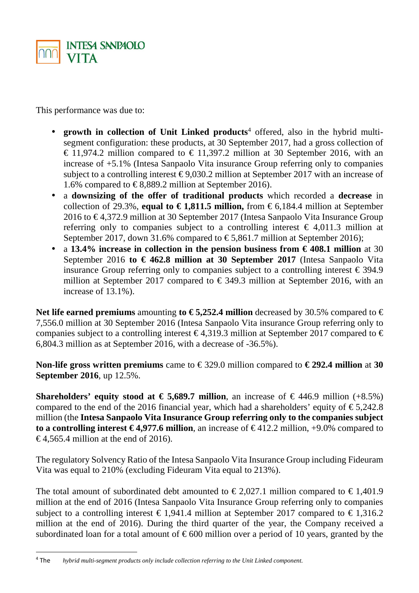

This performance was due to:

- growth in collection of Unit Linked products<sup>4</sup> offered, also in the hybrid multisegment configuration: these products, at 30 September 2017, had a gross collection of  $\epsilon$  11,974.2 million compared to  $\epsilon$  11,397.2 million a 30 September 2016, with an increase of +5.1% (Intesa Sanpaolo Vita insurance Group referring only to companies subject to a controlling interest  $\epsilon$  9,030.2 millionat September 2017 with an increase of 1.6% compared to  $\in$  8,889.2 million at September 2016).
- a **downsizing of the offer of traditional products** which recorded a **decrease** in collection of 29.3%, **equal to**  $\in$  **1,811.5 million**, from  $\in$  6,184.4 million at September 2016 to  $\in$  4,372.9 million at 30 September 2017 (Intesa Sanpaolo Vita Insurance Group referring only to companies subject to a controlling interest  $\epsilon$  4,011.3 million at September 2017, down 31.6% compared to  $\in$  5,861.7 million at September 2016);
- a 13.4% increase in collection in the pension business from  $\epsilon$  408.1 million at 30 September 2016 **to € 462.8 million at 30 September 2017** (Intesa Sanpaolo Vita insurance Group referring only to companies subject to a controlling interest  $\epsilon$  394.9 million at September 2017 compared to  $\epsilon$  349.3 million at September 2016, with an increase of 13.1%).

Net life earned premiums amounting **to € 5,252.4 million** decreased by 30.5% compared to  $\in$ 7,556.0 million at 30 September 2016 (Intesa Sanpaolo Vita insurance Group referring only to companies subject to a controlling interest  $\in$  4,3193 million at September 2017 compared to  $\in$ 6,804.3 million as at September 2016, with a decrease of -36.5%).

**Non-life gross written premiums** came to  $\in$  329.0 million compared to  $\in$  292.4 million at 30 **September 2016**, up 12.5%.

**Shareholders' equity stood at**  $\in$  **5,689.7 million** an increase of  $\in$  446.9 million (+8.5%) compared to the end of the 2016 financial year, which had a shareholders' equity of  $\epsilon$  5,242.8 million (the **Intesa Sanpaolo Vita Insurance Group referring only to the companies subject to a controlling interest € 4.977.6 million** an increase of € 412.2 million, +9.0% compared to  $\epsilon$  4.565.4 million at the end of 2016).

The regulatory Solvency Ratio of the Intesa Sanpaolo Vita Insurance Group including Fideuram Vita was equal to 210% (excluding Fideuram Vita equal to 213%).

The total amount of subordinated debt amounted to  $\in 2,027.1$  million compared to  $\in 1,401.9$ million at the end of 2016 (Intesa Sanpaolo Vita Insurance Group referring only to companies subject to a controlling interest  $\epsilon$  1,941.4 million at September 2017 compared to  $\epsilon$  1,316.2 million at the end of 2016). During the third quarter of the year, the Company received a subordinated loan for a total amount of  $\epsilon$  600 million over a period of 10 years, granted by the

l

 $4$ The The *hybrid multi-segment products only include collection referring to the Unit Linked component.*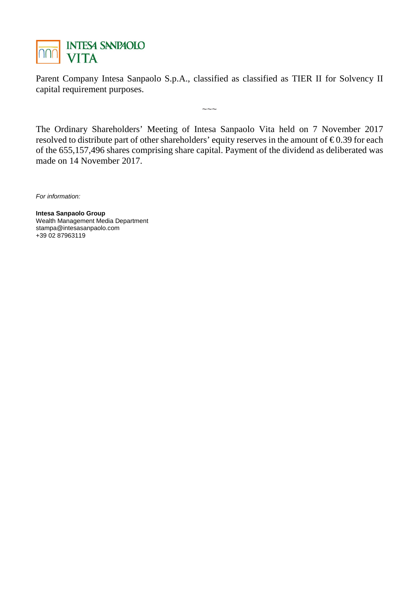

Parent Company Intesa Sanpaolo S.p.A., classified as classified as TIER II for Solvency II capital requirement purposes.

 $\sim\sim\sim$ 

The Ordinary Shareholders' Meeting of Intesa Sanpaolo Vita held on 7 November 2017 resolved to distribute part of other shareholders' equity reserves in the amount of  $\epsilon$  0.39 for each of the 655,157,496 shares comprising share capital. Payment of the dividend as deliberated was made on 14 November 2017.

For information:

**Intesa Sanpaolo Group**  Wealth Management Media Department stampa@intesasanpaolo.com +39 02 87963119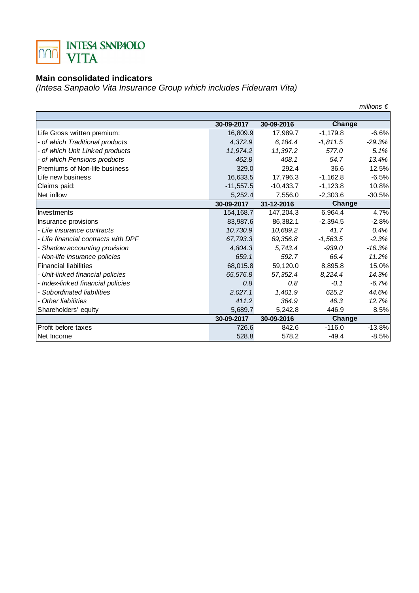

#### **Main consolidated indicators**

(Intesa Sanpaolo Vita Insurance Group which includes Fideuram Vita)

|                                     |             |             |            | millions $\epsilon$ |
|-------------------------------------|-------------|-------------|------------|---------------------|
|                                     |             |             |            |                     |
|                                     | 30-09-2017  | 30-09-2016  | Change     |                     |
| Life Gross written premium:         | 16,809.9    | 17,989.7    | $-1,179.8$ | $-6.6%$             |
| - of which Traditional products     | 4.372.9     | 6.184.4     | $-1,811.5$ | $-29.3%$            |
| - of which Unit Linked products     | 11,974.2    | 11,397.2    | 577.0      | 5.1%                |
| - of which Pensions products        | 462.8       | 408.1       | 54.7       | 13.4%               |
| Premiums of Non-life business       | 329.0       | 292.4       | 36.6       | 12.5%               |
| Life new business                   | 16,633.5    | 17,796.3    | $-1,162.8$ | $-6.5%$             |
| Claims paid:                        | $-11,557.5$ | $-10,433.7$ | $-1,123.8$ | 10.8%               |
| Net inflow                          | 5,252.4     | 7,556.0     | $-2,303.6$ | $-30.5%$            |
|                                     | 30-09-2017  | 31-12-2016  | Change     |                     |
| Investments                         | 154, 168. 7 | 147,204.3   | 6,964.4    | 4.7%                |
| Insurance provisions                | 83,987.6    | 86,382.1    | $-2,394.5$ | $-2.8%$             |
| - Life insurance contracts          | 10,730.9    | 10,689.2    | 41.7       | 0.4%                |
| - Life financial contracts with DPF | 67,793.3    | 69,356.8    | $-1,563.5$ | $-2.3%$             |
| - Shadow accounting provision       | 4,804.3     | 5,743.4     | $-939.0$   | $-16.3%$            |
| - Non-life insurance policies       | 659.1       | 592.7       | 66.4       | 11.2%               |
| <b>Financial liabilities</b>        | 68,015.8    | 59,120.0    | 8,895.8    | 15.0%               |
| - Unit-linked financial policies    | 65,576.8    | 57, 352.4   | 8,224.4    | 14.3%               |
| - Index-linked financial policies   | 0.8         | 0.8         | $-0.1$     | $-6.7%$             |
| - Subordinated liabilities          | 2,027.1     | 1,401.9     | 625.2      | 44.6%               |
| - Other liabilities                 | 411.2       | 364.9       | 46.3       | 12.7%               |
| Shareholders' equity                | 5,689.7     | 5,242.8     | 446.9      | 8.5%                |
|                                     | 30-09-2017  | 30-09-2016  | Change     |                     |
| Profit before taxes                 | 726.6       | 842.6       | $-116.0$   | $-13.8%$            |
| Net Income                          | 528.8       | 578.2       | $-49.4$    | $-8.5%$             |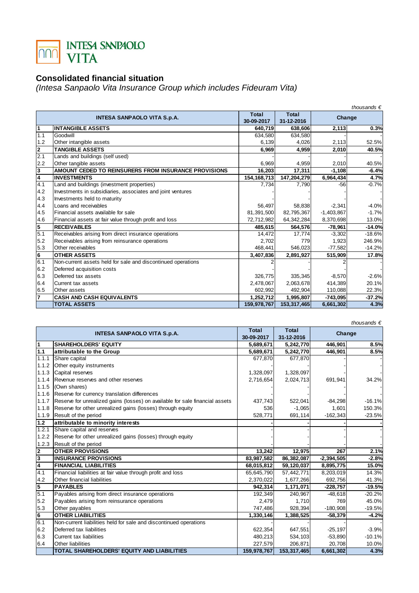

## **Consolidated financial situation**

(Intesa Sanpaolo Vita Insurance Group which includes Fideuram Vita)

|                         | thousands $\epsilon$                                         |               |              |              |          |
|-------------------------|--------------------------------------------------------------|---------------|--------------|--------------|----------|
|                         | <b>INTESA SANPAOLO VITA S.p.A.</b>                           | <b>Total</b>  | <b>Total</b> | Change       |          |
|                         |                                                              | 30-09-2017    | 31-12-2016   |              |          |
| $\overline{\mathbf{1}}$ | <b>INTANGIBLE ASSETS</b>                                     | 640,719       | 638,606      | 2,113        | 0.3%     |
| 1.1                     | Goodwill                                                     | 634,580       | 634,580      |              |          |
| 1.2                     | Other intangible assets                                      | 6,139         | 4,026        | 2,113        | 52.5%    |
| 2                       | <b>TANGIBLE ASSETS</b>                                       | 6,969         | 4,959        | 2,010        | 40.5%    |
| 2.1                     | Lands and buildings (self used)                              |               |              |              |          |
| 2.2                     | Other tangible assets                                        | 6,969         | 4.959        | 2,010        | 40.5%    |
| $\overline{\mathbf{3}}$ | AMOUNT CEDED TO REINSURERS FROM INSURANCE PROVISIONS         | 16,203        | 17,311       | $-1,108$     | $-6.4%$  |
| $\overline{4}$          | <b>INVESTMENTS</b>                                           | 154, 168, 713 | 147,204,279  | 6,964,434    | 4.7%     |
| 4.1                     | Land and buildings (investment properties)                   | 7.734         | 7.790        | $-56$        | $-0.7%$  |
| 4.2                     | Investments in subsidiaries, associates and joint ventures   |               |              |              |          |
| 4.3                     | Investments held to maturity                                 |               |              |              |          |
| 4.4                     | Loans and receivables                                        | 56,497        | 58,838       | $-2,341$     | $-4.0%$  |
| 4.5                     | Financial assets available for sale                          | 81,391,500    | 82,795,367   | $-1,403,867$ | $-1.7%$  |
| 4.6                     | Financial assets at fair value through profit and loss       | 72,712,982    | 64, 342, 284 | 8,370,698    | 13.0%    |
| 5                       | <b>RECEIVABLES</b>                                           | 485,615       | 564,576      | $-78,961$    | $-14.0%$ |
| 5.1                     | Receivables arising from direct insurance operations         | 14,472        | 17,774       | $-3,302$     | $-18.6%$ |
| 5.2                     | Receivables arising from reinsurance operations              | 2,702         | 779          | 1,923        | 246.9%   |
| 5.3                     | Other receivables                                            | 468,441       | 546.023      | $-77,582$    | $-14.2%$ |
| 6                       | <b>OTHER ASSETS</b>                                          | 3,407,836     | 2,891,927    | 515,909      | 17.8%    |
| 6.1                     | Non-current assets held for sale and discontinued operations |               |              |              |          |
| 6.2                     | Deferred acquisition costs                                   |               |              |              |          |
| 6.3                     | Deferred tax assets                                          | 326,775       | 335,345      | $-8,570$     | $-2.6%$  |
| 6.4                     | Current tax assets                                           | 2,478,067     | 2,063,678    | 414,389      | 20.1%    |
| 6.5                     | Other assets                                                 | 602,992       | 492,904      | 110,088      | 22.3%    |
| $\overline{7}$          | <b>CASH AND CASH EQUIVALENTS</b>                             | 1,252,712     | 1,995,807    | $-743,095$   | $-37.2%$ |
|                         | <b>TOTAL ASSETS</b>                                          | 159,978,767   | 153,317,465  | 6,661,302    | 4.3%     |

|                |                                                                              |             |             |              | thousands $\epsilon$ |
|----------------|------------------------------------------------------------------------------|-------------|-------------|--------------|----------------------|
|                |                                                                              | Total       | Total       |              |                      |
|                | <b>INTESA SANPAOLO VITA S.p.A.</b>                                           | 30-09-2017  | 31-12-2016  | Change       |                      |
| 1              | <b>SHAREHOLDERS' EQUITY</b>                                                  | 5,689,671   | 5,242,770   | 446,901      | 8.5%                 |
| 1.1            | attributable to the Group                                                    | 5,689,671   | 5,242,770   | 446,901      | 8.5%                 |
| 1.1.1          | Share capital                                                                | 677.870     | 677,870     |              |                      |
| 1.1.2          | Other equity instruments                                                     |             |             |              |                      |
| 1.1.3          | Capital reserves                                                             | 1,328,097   | 1,328,097   |              |                      |
| 1.1.4          | Revenue reserves and other reserves                                          | 2,716,654   | 2,024,713   | 691,941      | 34.2%                |
| 1.1.5          | (Own shares)                                                                 |             |             |              |                      |
| 1.1.6          | Reserve for currency translation differences                                 |             |             |              |                      |
| 1.1.7          | Reserve for unrealized gains (losses) on available for sale financial assets | 437,743     | 522,041     | $-84,298$    | $-16.1%$             |
| 1.1.8          | Reserve for other unrealized gains (losses) through equity                   | 536         | $-1,065$    | 1,601        | 150.3%               |
| 1.1.9          | Result of the period                                                         | 528,771     | 691,114     | $-162,343$   | $-23.5%$             |
| 1.2            | attributable to minority interests                                           |             |             |              |                      |
| 1.2.1          | Share capital and reserves                                                   |             |             |              |                      |
| 1.2.2          | Reserve for other unrealized gains (losses) through equity                   |             |             |              |                      |
| 1.2.3          | Result of the period                                                         |             |             |              |                      |
| $\overline{2}$ | <b>OTHER PROVISIONS</b>                                                      | 13,242      | 12,975      | 267          | 2.1%                 |
| 3              | <b>INSURANCE PROVISIONS</b>                                                  | 83,987,582  | 86,382,087  | $-2,394,505$ | $-2.8%$              |
| $\overline{4}$ | <b>FINANCIAL LIABILITIES</b>                                                 | 68,015,812  | 59,120,037  | 8,895,775    | 15.0%                |
| 4.1            | Financial liabilities at fair value through profit and loss                  | 65,645,790  | 57,442,771  | 8,203,019    | 14.3%                |
| 4.2            | Other financial liabilities                                                  | 2,370,022   | 1,677,266   | 692.756      | 41.3%                |
| 5              | <b>PAYABLES</b>                                                              | 942,314     | 1,171,071   | $-228,757$   | $-19.5%$             |
| 5.1            | Payables arising from direct insurance operations                            | 192,349     | 240,967     | $-48,618$    | $-20.2%$             |
| 5.2            | Payables arising from reinsurance operations                                 | 2,479       | 1,710       | 769          | 45.0%                |
| 5.3            | Other payables                                                               | 747,486     | 928,394     | $-180,908$   | $-19.5%$             |
| 6              | <b>OTHER LIABILITIES</b>                                                     | 1,330,146   | 1,388,525   | $-58,379$    | $-4.2%$              |
| 6.1            | Non-current liabilities held for sale and discontinued operations            |             |             |              |                      |
| 6.2            | Deferred tax liabilities                                                     | 622,354     | 647,551     | $-25,197$    | $-3.9%$              |
| 6.3            | Current tax liabilities                                                      | 480,213     | 534,103     | $-53,890$    | $-10.1%$             |
| 6.4            | Other liabilities                                                            | 227,579     | 206,871     | 20,708       | 10.0%                |
|                | <b>TOTAL SHAREHOLDERS' EQUITY AND LIABILITIES</b>                            | 159,978,767 | 153,317,465 | 6,661,302    | 4.3%                 |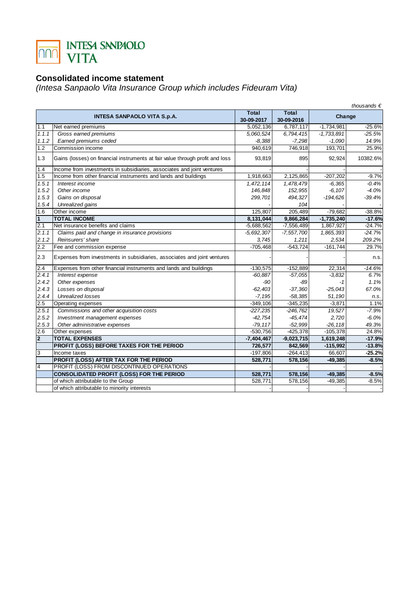

## **Consolidated income statement**

(Intesa Sanpaolo Vita Insurance Group which includes Fideuram Vita)

| thousands $\epsilon$ |                                                                               |              |              |              |          |
|----------------------|-------------------------------------------------------------------------------|--------------|--------------|--------------|----------|
|                      |                                                                               | <b>Total</b> | <b>Total</b> | Change       |          |
|                      | <b>INTESA SANPAOLO VITA S.p.A.</b>                                            | 30-09-2017   | 30-09-2016   |              |          |
| 1.1                  | Net earned premiums                                                           | 5,052,136    | 6,787,117    | $-1,734,981$ | $-25.6%$ |
| 1.1.1                | Gross earned premiums                                                         | 5,060,524    | 6,794,415    | $-1.733.891$ | $-25.5%$ |
| 1.1.2                | Earned premiums ceded                                                         | $-8,388$     | $-7,298$     | $-1,090$     | 14.9%    |
| $\overline{1.2}$     | Commission income                                                             | 940,619      | 746,918      | 193,701      | 25.9%    |
| 1.3                  | Gains (losses) on financial instruments at fair value through profit and loss | 93,819       | 895          | 92,924       | 10382.6% |
| 1.4                  | Income from investments in subsidiaries, associates and joint ventures        |              |              |              |          |
| 1.5                  | Income from other financial instruments and lands and buildings               | 1,918,663    | 2,125,865    | $-207,202$   | $-9.7%$  |
| 1.5.1                | Interest income                                                               | 1,472,114    | 1,478,479    | $-6,365$     | $-0.4%$  |
| 1.5.2                | Other income                                                                  | 146,848      | 152,955      | $-6, 107$    | $-4.0%$  |
| 1.5.3                | Gains on disposal                                                             | 299.701      | 494,327      | $-194,626$   | $-39.4%$ |
| 1.5.4                | Unrealized gains                                                              |              | 104          |              |          |
| 1.6                  | Other income                                                                  | 125.807      | 205.489      | $-79.682$    | $-38.8%$ |
| $\mathbf{1}$         | <b>TOTAL INCOME</b>                                                           | 8,131,044    | 9,866,284    | $-1,735,240$ | $-17.6%$ |
| 2.1                  | Net insurance benefits and claims                                             | $-5,688,562$ | $-7,556,489$ | 1,867,927    | $-24.7%$ |
| 2.1.1                | Claims paid and change in insurance provisions                                | $-5,692,307$ | $-7,557,700$ | 1,865,393    | $-24.7%$ |
| 2.1.2                | Reinsurers' share                                                             | 3,745        | 1,211        | 2,534        | 209.2%   |
| 2.2                  | Fee and commission expense                                                    | $-705,468$   | $-543,724$   | $-161,744$   | 29.7%    |
| 2.3                  | Expenses from investments in subsidiaries, associates and joint ventures      |              |              |              | n.s.     |
| 2.4                  | Expenses from other financial instruments and lands and buildings             | $-130,575$   | $-152,889$   | 22,314       | $-14.6%$ |
| 2.4.1                | Interest expense                                                              | $-60,887$    | $-57,055$    | $-3,832$     | 6.7%     |
| 2.4.2                | Other expenses                                                                | $-90$        | $-89$        | -1           | 1.1%     |
| 2.4.3                | Losses on disposal                                                            | $-62,403$    | $-37,360$    | $-25,043$    | 67.0%    |
| 2.4.4                | <b>Unrealized losses</b>                                                      | $-7,195$     | $-58,385$    | 51,190       | n.s.     |
| 2.5                  | Operating expenses                                                            | $-349,106$   | $-345,235$   | $-3,871$     | 1.1%     |
| 2.5.1                | Commissions and other acquisition costs                                       | $-227,235$   | $-246,762$   | 19,527       | $-7.9%$  |
| 2.5.2                | Investment management expenses                                                | $-42,754$    | $-45.474$    | 2,720        | $-6.0%$  |
| 2.5.3                | Other administrative expenses                                                 | $-79, 117$   | $-52,999$    | $-26, 118$   | 49.3%    |
| 2.6                  | Other expenses                                                                | $-530.756$   | $-425,378$   | $-105,378$   | 24.8%    |
| $\overline{2}$       | <b>TOTAL EXPENSES</b>                                                         | $-7,404,467$ | $-9,023,715$ | 1,619,248    | $-17.9%$ |
|                      | PROFIT (LOSS) BEFORE TAXES FOR THE PERIOD                                     | 726,577      | 842,569      | $-115,992$   | $-13.8%$ |
| 3                    | Income taxes                                                                  | $-197,806$   | $-264, 413$  | 66,607       | $-25.2%$ |
|                      | PROFIT (LOSS) AFTER TAX FOR THE PERIOD                                        | 528,771      | 578,156      | $-49,385$    | $-8.5%$  |
| $\overline{4}$       | PROFIT (LOSS) FROM DISCONTINUED OPERATIONS                                    |              |              |              |          |
|                      | <b>CONSOLIDATED PROFIT (LOSS) FOR THE PERIOD</b>                              | 528,771      | 578,156      | $-49,385$    | $-8.5%$  |
|                      | of which attributable to the Group                                            | 528,771      | 578,156      | $-49,385$    | $-8.5%$  |
|                      | of which attributable to minority interests                                   |              |              |              |          |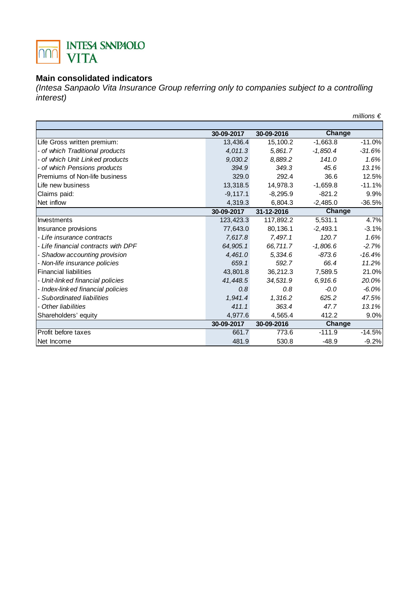

#### **Main consolidated indicators**

(Intesa Sanpaolo Vita Insurance Group referring only to companies subject to a controlling interest)

|                                     |            |            |            | millions $\epsilon$ |
|-------------------------------------|------------|------------|------------|---------------------|
|                                     |            |            |            |                     |
|                                     | 30-09-2017 | 30-09-2016 | Change     |                     |
| Life Gross written premium:         | 13,436.4   | 15,100.2   | $-1,663.8$ | $-11.0%$            |
| - of which Traditional products     | 4,011.3    | 5,861.7    | $-1,850.4$ | $-31.6%$            |
| - of which Unit Linked products     | 9,030.2    | 8,889.2    | 141.0      | 1.6%                |
| - of which Pensions products        | 394.9      | 349.3      | 45.6       | 13.1%               |
| Premiums of Non-life business       | 329.0      | 292.4      | 36.6       | 12.5%               |
| Life new business                   | 13,318.5   | 14,978.3   | $-1,659.8$ | $-11.1%$            |
| Claims paid:                        | $-9,117.1$ | $-8,295.9$ | $-821.2$   | 9.9%                |
| Net inflow                          | 4,319.3    | 6.804.3    | $-2,485.0$ | $-36.5%$            |
|                                     | 30-09-2017 | 31-12-2016 | Change     |                     |
| Investments                         | 123,423.3  | 117,892.2  | 5,531.1    | 4.7%                |
| Insurance provisions                | 77,643.0   | 80,136.1   | $-2,493.1$ | $-3.1%$             |
| - Life insurance contracts          | 7,617.8    | 7.497.1    | 120.7      | 1.6%                |
| - Life financial contracts with DPF | 64,905.1   | 66,711.7   | $-1,806.6$ | $-2.7%$             |
| - Shadow accounting provision       | 4,461.0    | 5,334.6    | $-873.6$   | $-16.4%$            |
| - Non-life insurance policies       | 659.1      | 592.7      | 66.4       | 11.2%               |
| <b>Financial liabilities</b>        | 43,801.8   | 36,212.3   | 7.589.5    | 21.0%               |
| - Unit-linked financial policies    | 41,448.5   | 34,531.9   | 6,916.6    | 20.0%               |
| - Index-link ed financial policies  | 0.8        | 0.8        | $-0.0$     | $-6.0%$             |
| - Subordinated liabilities          | 1,941.4    | 1,316.2    | 625.2      | 47.5%               |
| - Other liabilities                 | 411.1      | 363.4      | 47.7       | 13.1%               |
| Shareholders' equity                | 4,977.6    | 4,565.4    | 412.2      | 9.0%                |
|                                     | 30-09-2017 | 30-09-2016 | Change     |                     |
| Profit before taxes                 | 661.7      | 773.6      | $-111.9$   | $-14.5%$            |
| Net Income                          | 481.9      | 530.8      | $-48.9$    | $-9.2%$             |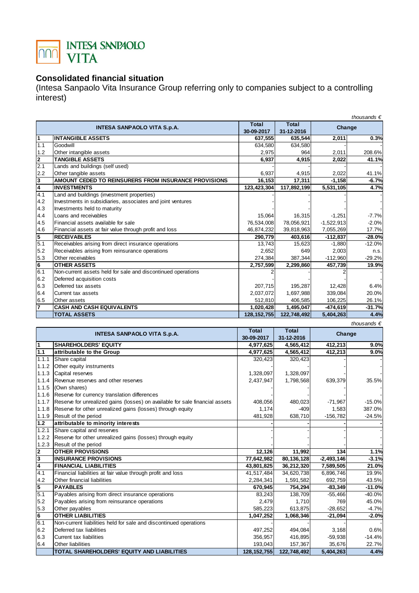

## **Consolidated financial situation**

(Intesa Sanpaolo Vita Insurance Group referring only to companies subject to a controlling interest)

|                         | thousands $\epsilon$                                         |               |              |              |          |
|-------------------------|--------------------------------------------------------------|---------------|--------------|--------------|----------|
|                         | <b>INTESA SANPAOLO VITA S.p.A.</b>                           | <b>Total</b>  | <b>Total</b> | Change       |          |
|                         |                                                              | 30-09-2017    | 31-12-2016   |              |          |
| 1                       | <b>INTANGIBLE ASSETS</b>                                     | 637,555       | 635,544      | 2,011        | 0.3%     |
| 1.1                     | Goodwill                                                     | 634,580       | 634,580      |              |          |
| 1.2                     | Other intangible assets                                      | 2,975         | 964          | 2,011        | 208.6%   |
| $\overline{2}$          | <b>TANGIBLE ASSETS</b>                                       | 6,937         | 4,915        | 2,022        | 41.1%    |
| 2.1                     | Lands and buildings (self used)                              |               |              |              |          |
| 2.2                     | Other tangible assets                                        | 6,937         | 4,915        | 2,022        | 41.1%    |
| 3                       | AMOUNT CEDED TO REINSURERS FROM INSURANCE PROVISIONS         | 16,153        | 17,311       | $-1,158$     | $-6.7%$  |
| $\overline{\mathbf{4}}$ | <b>INVESTMENTS</b>                                           | 123,423,304   | 117,892,199  | 5,531,105    | 4.7%     |
| 4.1                     | Land and buildings (investment properties)                   |               |              |              |          |
| 4.2                     | Investments in subsidiaries, associates and joint ventures   |               |              |              |          |
| 4.3                     | Investments held to maturity                                 |               |              |              |          |
| 4.4                     | Loans and receivables                                        | 15,064        | 16,315       | $-1,251$     | $-7.7%$  |
| 4.5                     | Financial assets available for sale                          | 76,534,008    | 78,056,921   | $-1,522,913$ | $-2.0%$  |
| 4.6                     | Financial assets at fair value through profit and loss       | 46,874,232    | 39,818,963   | 7,055,269    | 17.7%    |
| $\overline{5}$          | <b>RECEIVABLES</b>                                           | 290,779       | 403,616      | $-112,837$   | $-28.0%$ |
| 5.1                     | Receivables arising from direct insurance operations         | 13,743        | 15,623       | $-1,880$     | $-12.0%$ |
| 5.2                     | Receivables arising from reinsurance operations              | 2,652         | 649          | 2,003        | n.s.     |
| 5.3                     | Other receivables                                            | 274,384       | 387,344      | $-112,960$   | $-29.2%$ |
| 6                       | <b>OTHER ASSETS</b>                                          | 2,757,599     | 2,299,860    | 457,739      | 19.9%    |
| 6.1                     | Non-current assets held for sale and discontinued operations |               |              |              |          |
| 6.2                     | Deferred acquisition costs                                   |               |              |              |          |
| 6.3                     | Deferred tax assets                                          | 207,715       | 195,287      | 12,428       | 6.4%     |
| 6.4                     | Current tax assets                                           | 2,037,072     | 1,697,988    | 339,084      | 20.0%    |
| 6.5                     | Other assets                                                 | 512.810       | 406,585      | 106,225      | 26.1%    |
| $\overline{7}$          | <b>CASH AND CASH EQUIVALENTS</b>                             | 1,020,428     | 1,495,047    | $-474,619$   | $-31.7%$ |
|                         | <b>TOTAL ASSETS</b>                                          | 128, 152, 755 | 122,748,492  | 5,404,263    | 4.4%     |
|                         | thousands $\epsilon$                                         |               |              |              |          |

|                | <b>INTESA SANPAOLO VITA S.p.A.</b>                                           | Total         | Total       | Change       |          |
|----------------|------------------------------------------------------------------------------|---------------|-------------|--------------|----------|
|                |                                                                              | 30-09-2017    | 31-12-2016  |              |          |
| $\overline{1}$ | <b>SHAREHOLDERS' EQUITY</b>                                                  | 4,977,625     | 4,565,412   | 412,213      | 9.0%     |
| 1.1            | attributable to the Group                                                    | 4,977,625     | 4,565,412   | 412,213      | 9.0%     |
| 1.1.1          | Share capital                                                                | 320,423       | 320,423     |              |          |
| 1.1.2          | Other equity instruments                                                     |               |             |              |          |
| 1.1.3          | Capital reserves                                                             | 1,328,097     | 1,328,097   |              |          |
| 1.1.4          | Revenue reserves and other reserves                                          | 2,437,947     | 1,798,568   | 639,379      | 35.5%    |
| 1.1.5          | (Own shares)                                                                 |               |             |              |          |
| 1.1.6          | Reserve for currency translation differences                                 |               |             |              |          |
| 1.1.7          | Reserve for unrealized gains (losses) on available for sale financial assets | 408,056       | 480,023     | $-71,967$    | $-15.0%$ |
| 1.1.8          | Reserve for other unrealized gains (losses) through equity                   | 1.174         | $-409$      | 1,583        | 387.0%   |
| 1.1.9          | Result of the period                                                         | 481,928       | 638,710     | $-156,782$   | $-24.5%$ |
| 1.2            | attributable to minority interests                                           |               |             |              |          |
| 1.2.1          | Share capital and reserves                                                   |               |             |              |          |
| 1.2.2          | Reserve for other unrealized gains (losses) through equity                   |               |             |              |          |
| 1.2.3          | Result of the period                                                         |               |             |              |          |
| $\frac{2}{3}$  | <b>OTHER PROVISIONS</b>                                                      | 12,126        | 11,992      | 134          | 1.1%     |
|                | <b>INSURANCE PROVISIONS</b>                                                  | 77,642,982    | 80,136,128  | $-2,493,146$ | $-3.1%$  |
| 4              | <b>FINANCIAL LIABILITIES</b>                                                 | 43,801,825    | 36,212,320  | 7,589,505    | 21.0%    |
| 4.1            | Financial liabilities at fair value through profit and loss                  | 41,517,484    | 34,620,738  | 6,896,746    | 19.9%    |
| 4.2            | Other financial liabilities                                                  | 2,284,341     | 1,591,582   | 692,759      | 43.5%    |
| 5              | <b>PAYABLES</b>                                                              | 670,945       | 754,294     | $-83,349$    | $-11.0%$ |
| 5.1            | Payables arising from direct insurance operations                            | 83,243        | 138,709     | $-55,466$    | $-40.0%$ |
| 5.2            | Payables arising from reinsurance operations                                 | 2,479         | 1,710       | 769          | 45.0%    |
| 5.3            | Other payables                                                               | 585,223       | 613,875     | $-28,652$    | $-4.7%$  |
| $6\phantom{a}$ | <b>OTHER LIABILITIES</b>                                                     | 1,047,252     | 1,068,346   | $-21,094$    | $-2.0%$  |
| 6.1            | Non-current liabilities held for sale and discontinued operations            |               |             |              |          |
| 6.2            | Deferred tax liabilities                                                     | 497,252       | 494.084     | 3,168        | 0.6%     |
| 6.3            | Current tax liabilities                                                      | 356,957       | 416,895     | $-59,938$    | $-14.4%$ |
| 6.4            | Other liabilities                                                            | 193,043       | 157,367     | 35,676       | 22.7%    |
|                | TOTAL SHAREHOLDERS' EQUITY AND LIABILITIES                                   | 128, 152, 755 | 122,748,492 | 5,404,263    | 4.4%     |